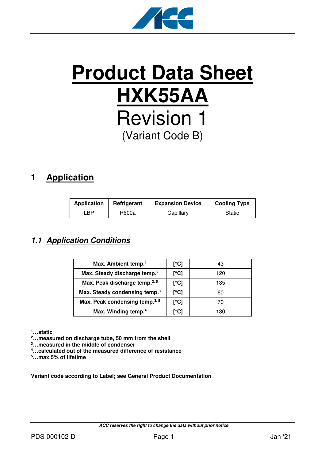

# **Product Data Sheet HXK55AA** Revision 1 (Variant Code B)

# **1 Application**

| <b>Application</b> | Refrigerant | <b>Expansion Device</b> | <b>Cooling Type</b> |
|--------------------|-------------|-------------------------|---------------------|
| ∟BP.               | R600a       | Capillary               | Static              |

### **1.1 Application Conditions**

| Max. Ambient temp. <sup>1</sup>           | [°C] | 43  |
|-------------------------------------------|------|-----|
| Max. Steady discharge temp. <sup>2</sup>  | [°C] | 120 |
| Max. Peak discharge temp. <sup>2, 5</sup> | [°C] | 135 |
| Max. Steady condensing temp. <sup>3</sup> | [°C] | 60  |
| Max. Peak condensing temp. <sup>3,5</sup> | [°C] | 70  |
| Max. Winding temp. <sup>4</sup>           | r°C1 | 130 |

**<sup>1</sup>…static** 

**<sup>2</sup>…measured on discharge tube, 50 mm from the shell** 

**<sup>3</sup>…measured in the middle of condenser** 

**<sup>4</sup>…calculated out of the measured difference of resistance** 

**<sup>5</sup>…max 5% of lifetime** 

**Variant code according to Label; see General Product Documentation**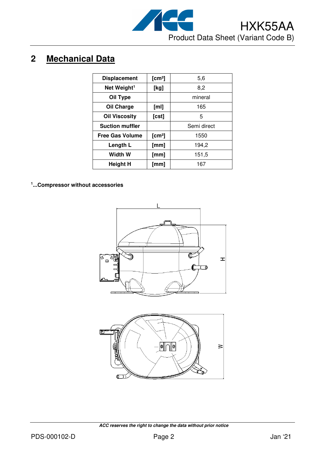

# **2 Mechanical Data**

| <b>Displacement</b>     | [cm <sup>3</sup> ] | 5,6         |
|-------------------------|--------------------|-------------|
| Net Weight <sup>1</sup> | [kg]               | 8,2         |
| Oil Type                |                    | mineral     |
| Oil Charge              | [ml]               | 165         |
| <b>Oil Viscosity</b>    | $[{\rm cst}]$      | 5           |
| <b>Suction muffler</b>  |                    | Semi direct |
| <b>Free Gas Volume</b>  | [cm <sup>3</sup> ] | 1550        |
| Length L                | [mm]               | 194,2       |
| Width W                 | [mm]               | 151,5       |
| <b>Height H</b>         | [mm]               | 167         |

**1 ...Compressor without accessories**



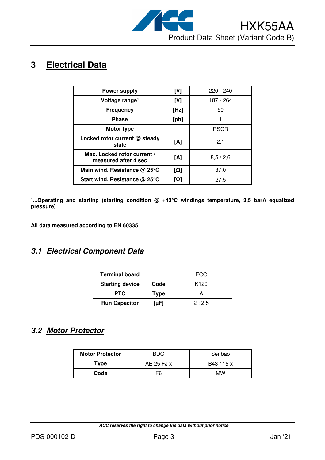

# **3 Electrical Data**

| <b>Power supply</b>                                 | [V]        | $220 - 240$ |
|-----------------------------------------------------|------------|-------------|
| Voltage range <sup>1</sup>                          | [V]        | 187 - 264   |
| <b>Frequency</b>                                    | [Hz]       | 50          |
| <b>Phase</b>                                        | [ph]       |             |
| <b>Motor type</b>                                   |            | <b>RSCR</b> |
| Locked rotor current @ steady<br>state              | [A]        | 2,1         |
| Max. Locked rotor current /<br>measured after 4 sec | [A]        | 8,5/2,6     |
| Main wind. Resistance $@$ 25 $°C$                   | [Ω]        | 37,0        |
| Start wind. Resistance @ 25°C                       | <b>[Ω]</b> | 27,5        |

<sup>1</sup>...Operating and starting (starting condition @ +43°C windings temperature, 3,5 barA equalized **pressure)** 

**All data measured according to EN 60335** 

#### **3.1 Electrical Component Data**

| <b>Terminal board</b>  |             | ECC              |
|------------------------|-------------|------------------|
| <b>Starting device</b> | Code        | K <sub>120</sub> |
| <b>PTC</b>             | <b>Type</b> |                  |
| <b>Run Capacitor</b>   | [µF]        | 2:2,5            |

## **3.2 Motor Protector**

| <b>Motor Protector</b> | <b>BDG</b> | Senbao    |  |
|------------------------|------------|-----------|--|
| Type                   | AE 25 FJ x | B43 115 x |  |
| Code                   | F6         | МW        |  |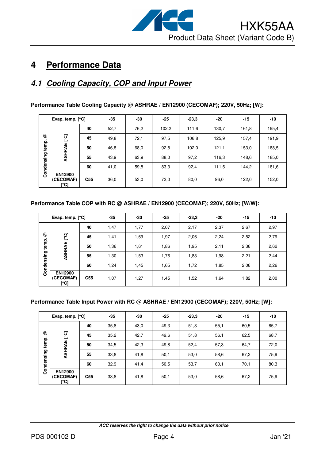

# **4 Performance Data**

### **4.1 Cooling Capacity, COP and Input Power**

|            | Evap. temp. $[°C]$                  |                 | $-35$ | -30  | $-25$ | $-23,3$ | -20   | $-15$ | $-10$ |
|------------|-------------------------------------|-----------------|-------|------|-------|---------|-------|-------|-------|
|            |                                     | 40              | 52,7  | 76,2 | 102,2 | 111,6   | 130,7 | 161,8 | 195,4 |
| ☺          | ု့ငျ                                | 45              | 49.8  | 72,1 | 97,5  | 106,8   | 125,9 | 157,4 | 191,9 |
| temp.      | ASHRAE                              | 50              | 46,8  | 68,0 | 92,8  | 102,0   | 121,1 | 153,0 | 188,5 |
| Condensing |                                     | 55              | 43,9  | 63,9 | 88,0  | 97,2    | 116,3 | 148,6 | 185,0 |
|            |                                     | 60              | 41,0  | 59,8 | 83,3  | 92,4    | 111,5 | 144,2 | 181,6 |
|            | <b>EN12900</b><br>(CECOMAF)<br>[°C] | C <sub>55</sub> | 36,0  | 53,0 | 72,0  | 80,0    | 96,0  | 122,0 | 152,0 |

**Performance Table Cooling Capacity @ ASHRAE / EN12900 (CECOMAF); 220V, 50Hz; [W]:** 

#### **Performance Table COP with RC @ ASHRAE / EN12900 (CECOMAF); 220V, 50Hz; [W/W]:**

|            | Evap. temp. $[°C]$                  |                 | $-35$ | $-30$ | $-25$ | $-23.3$ | $-20$ | $-15$ | $-10$ |
|------------|-------------------------------------|-----------------|-------|-------|-------|---------|-------|-------|-------|
|            |                                     | 40              | 1,47  | 1,77  | 2,07  | 2,17    | 2,37  | 2,67  | 2,97  |
| ල          | ုင္င                                | 45              | 1,41  | 1,69  | 1,97  | 2,06    | 2,24  | 2,52  | 2,79  |
| temp.      | ASHRAE                              | 50              | 1,36  | 1,61  | 1,86  | 1,95    | 2,11  | 2,36  | 2,62  |
| Condensing |                                     | 55              | 1,30  | 1,53  | 1,76  | 1,83    | 1,98  | 2,21  | 2,44  |
|            |                                     | 60              | 1,24  | 1,45  | 1,65  | 1,72    | 1,85  | 2,06  | 2,26  |
|            | <b>EN12900</b><br>(CECOMAF)<br>[°C] | C <sub>55</sub> | 1,07  | 1,27  | 1,45  | 1,52    | 1,64  | 1,82  | 2,00  |

#### **Performance Table Input Power with RC @ ASHRAE / EN12900 (CECOMAF); 220V, 50Hz; [W]:**

|            | Evap. temp. $[°C]$                  |                 | $-35$ | -30  | $-25$ | $-23.3$ | -20  | $-15$ | -10  |
|------------|-------------------------------------|-----------------|-------|------|-------|---------|------|-------|------|
|            |                                     | 40              | 35,8  | 43,0 | 49,3  | 51,3    | 55,1 | 60,5  | 65,7 |
| ල          | ု့ငြ                                | 45              | 35,2  | 42,7 | 49,6  | 51,8    | 56,1 | 62,5  | 68,7 |
| temp.      | ASHRAE                              | 50              | 34,5  | 42,3 | 49.8  | 52,4    | 57,3 | 64,7  | 72,0 |
|            |                                     | 55              | 33,8  | 41,8 | 50,1  | 53,0    | 58,6 | 67,2  | 75,9 |
| Condensing |                                     | 60              | 32,9  | 41,4 | 50,5  | 53,7    | 60,1 | 70,1  | 80,3 |
|            | <b>EN12900</b><br>(CECOMAF)<br>[°C] | C <sub>55</sub> | 33,8  | 41,8 | 50,1  | 53,0    | 58,6 | 67,2  | 75,9 |